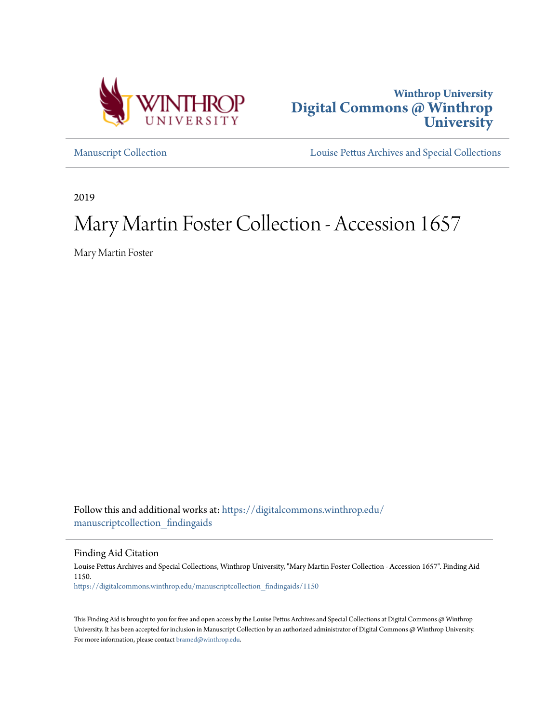



[Manuscript Collection](https://digitalcommons.winthrop.edu/manuscriptcollection_findingaids?utm_source=digitalcommons.winthrop.edu%2Fmanuscriptcollection_findingaids%2F1150&utm_medium=PDF&utm_campaign=PDFCoverPages) [Louise Pettus Archives and Special Collections](https://digitalcommons.winthrop.edu/pettus_archives?utm_source=digitalcommons.winthrop.edu%2Fmanuscriptcollection_findingaids%2F1150&utm_medium=PDF&utm_campaign=PDFCoverPages)

2019

# Mary Martin Foster Collection - Accession 1657

Mary Martin Foster

Follow this and additional works at: [https://digitalcommons.winthrop.edu/](https://digitalcommons.winthrop.edu/manuscriptcollection_findingaids?utm_source=digitalcommons.winthrop.edu%2Fmanuscriptcollection_findingaids%2F1150&utm_medium=PDF&utm_campaign=PDFCoverPages) [manuscriptcollection\\_findingaids](https://digitalcommons.winthrop.edu/manuscriptcollection_findingaids?utm_source=digitalcommons.winthrop.edu%2Fmanuscriptcollection_findingaids%2F1150&utm_medium=PDF&utm_campaign=PDFCoverPages)

Finding Aid Citation

Louise Pettus Archives and Special Collections, Winthrop University, "Mary Martin Foster Collection - Accession 1657". Finding Aid 1150. [https://digitalcommons.winthrop.edu/manuscriptcollection\\_findingaids/1150](https://digitalcommons.winthrop.edu/manuscriptcollection_findingaids/1150?utm_source=digitalcommons.winthrop.edu%2Fmanuscriptcollection_findingaids%2F1150&utm_medium=PDF&utm_campaign=PDFCoverPages)

This Finding Aid is brought to you for free and open access by the Louise Pettus Archives and Special Collections at Digital Commons @ Winthrop University. It has been accepted for inclusion in Manuscript Collection by an authorized administrator of Digital Commons @ Winthrop University. For more information, please contact [bramed@winthrop.edu.](mailto:bramed@winthrop.edu)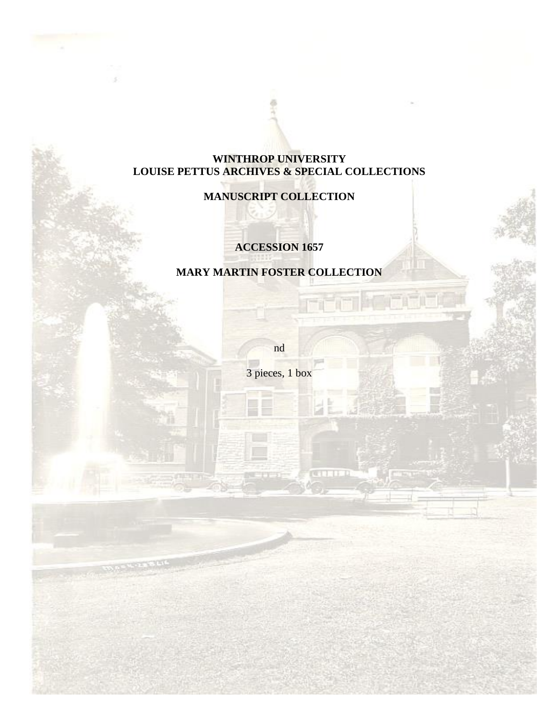# **WINTHROP UNIVERSITY LOUISE PETTUS ARCHIVES & SPECIAL COLLECTIONS**

# **MANUSCRIPT COLLECTION**

# **ACCESSION 1657**

# **MARY MARTIN FOSTER COLLECTION**

nd

3 pieces, 1 box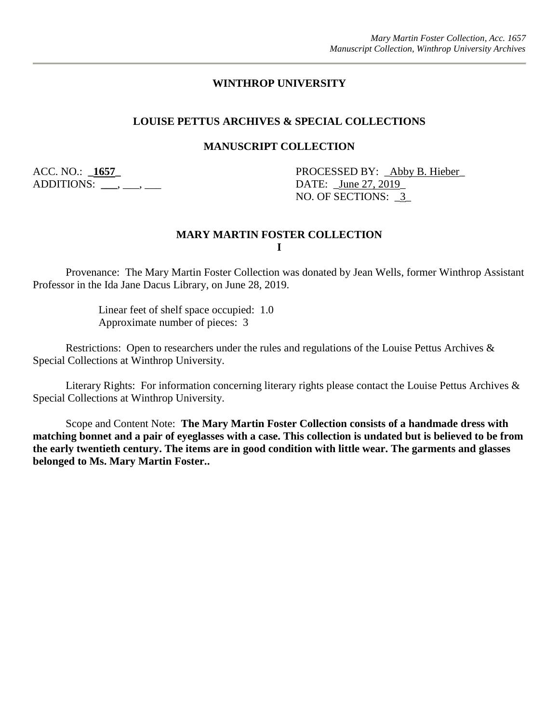### **WINTHROP UNIVERSITY**

#### **LOUISE PETTUS ARCHIVES & SPECIAL COLLECTIONS**

#### **MANUSCRIPT COLLECTION**

ADDITIONS: \_\_\_, \_\_\_, \_\_\_

ACC. NO.: **\_1657\_** PROCESSED BY: \_Abby B. Hieber\_ NO. OF SECTIONS: \_3\_

#### **MARY MARTIN FOSTER COLLECTION I**

Provenance: The Mary Martin Foster Collection was donated by Jean Wells, former Winthrop Assistant Professor in the Ida Jane Dacus Library, on June 28, 2019.

> Linear feet of shelf space occupied: 1.0 Approximate number of pieces: 3

Restrictions: Open to researchers under the rules and regulations of the Louise Pettus Archives & Special Collections at Winthrop University.

Literary Rights: For information concerning literary rights please contact the Louise Pettus Archives & Special Collections at Winthrop University.

Scope and Content Note: **The Mary Martin Foster Collection consists of a handmade dress with matching bonnet and a pair of eyeglasses with a case. This collection is undated but is believed to be from the early twentieth century. The items are in good condition with little wear. The garments and glasses belonged to Ms. Mary Martin Foster..**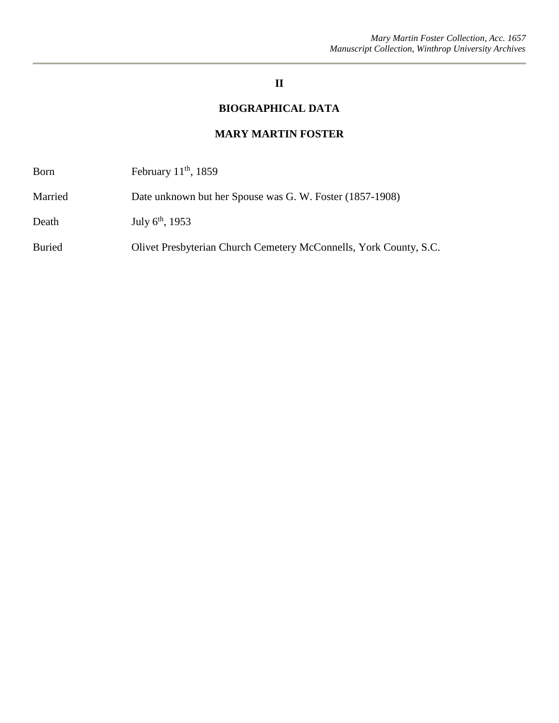# **II**

# **BIOGRAPHICAL DATA**

#### **MARY MARTIN FOSTER**

| <b>Born</b> | February $11th$ , 1859 |
|-------------|------------------------|
|-------------|------------------------|

Married Date unknown but her Spouse was G. W. Foster (1857-1908)

Death July 6<sup>th</sup>, 1953

Buried Olivet Presbyterian Church Cemetery McConnells, York County, S.C.